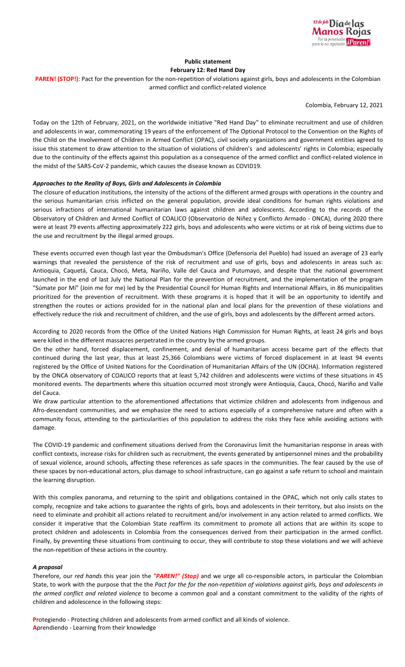

# **Public statement**

**February 12: Red Hand Day**

PAREN! (STOP!): Pact for the prevention for the non-repetition of violations against girls, boys and adolescents in the Colombian armed conflict and conflict-related violence

Colombia, February 12, 2021

Today on the 12th of February, 2021, on the worldwide initiative "Red Hand Day" to eliminate recruitment and use of children and adolescents in war, commemorating 19 years of the enforcement of The Optional Protocol to the Convention on the Rights of the Child on the Involvement of Children in Armed Conflict (OPAC), civil society organizations and government entities agreed to issue this statement to draw attention to the situation of violations of children's and adolescents' rights in Colombia; especially due to the continuity of the effects against this population as a consequence of the armed conflict and conflict-related violence in the midst of the SARS-CoV-2 pandemic, which causes the disease known as COVID19.

## *Approaches to the Reality of Boys, Girls and Adolescents in Colombia*

The closure of education institutions, the intensity of the actions of the different armed groups with operations in the country and the serious humanitarian crisis inflicted on the general population, provide ideal conditions for human rights violations and serious infractions of international humanitarian laws against children and adolescents. According to the records of the Observatory of Children and Armed Conflict of COALICO (Observatorio de Niñez y Conflicto Armado - ONCA), during 2020 there were at least 79 events affecting approximately 222 girls, boys and adolescents who were victims or at risk of being victims due to the use and recruitment by the illegal armed groups.

These events occurred even though last year the Ombudsman's Office (Defensoría del Pueblo) had issued an average of 23 early warnings that revealed the persistence of the risk of recruitment and use of girls, boys and adolescents in areas such as: Antioquia, Caquetá, Cauca, Chocó, Meta, Nariño, Valle del Cauca and Putumayo, and despite that the national government launched in the end of last July the National Plan for the prevention of recruitment, and the implementation of the program "Súmate por Mí" (Join me for me) led by the Presidential Council for Human Rights and International Affairs, in 86 municipalities prioritized for the prevention of recruitment. With these programs it is hoped that it will be an opportunity to identify and strengthen the routes or actions provided for in the national plan and local plans for the prevention of these violations and effectively reduce the risk and recruitment of children, and the use of girls, boys and adolescents by the different armed actors.

According to 2020 records from the Office of the United Nations High Commission for Human Rights, at least 24 girls and boys were killed in the different massacres perpetrated in the country by the armed groups.

On the other hand, forced displacement, confinement, and denial of humanitarian access became part of the effects that continued during the last year, thus at least 25,366 Colombians were victims of forced displacement in at least 94 events registered by the Office of United Nations for the Coordination of Humanitarian Affairs of the UN (OCHA). Information registered by the ONCA observatory of COALICO reports that at least 5,742 children and adolescents were victims of these situations in 45 monitored events. The departments where this situation occurred most strongly were Antioquia, Cauca, Chocó, Nariño and Valle del Cauca.

We draw particular attention to the aforementioned affectations that victimize children and adolescents from indigenous and Afro-descendant communities, and we emphasize the need to actions especially of a comprehensive nature and often with a community focus, attending to the particularities of this population to address the risks they face while avoiding actions with damage.

The COVID-19 pandemic and confinement situations derived from the Coronavirus limit the humanitarian response in areas with conflict contexts, increase risks for children such as recruitment, the events generated by antipersonnel mines and the probability of sexual violence, around schools, affecting these references as safe spaces in the communities. The fear caused by the use of these spaces by non-educational actors, plus damage to school infrastructure, can go against a safe return to school and maintain the learning disruption.

With this complex panorama, and returning to the spirit and obligations contained in the OPAC, which not only calls states to comply, recognize and take actions to guarantee the rights of girls, boys and adolescents in their territory, but also insists on the need to eliminate and prohibit all actions related to recruitment and/or involvement in any action related to armed conflicts. We consider it imperative that the Colombian State reaffirm its commitment to promote all actions that are within its scope to protect children and adolescents in Colombia from the consequences derived from their participation in the armed conflict. Finally, by preventing these situations from continuing to occur, they will contribute to stop these violations and we will achieve the non-repetition of these actions in the country.

### *A proposal*

Therefore, our *red hands* this year join the *"PAREN!" (Stop)* and we urge all co-responsible actors, in particular the Colombian State, to work with the purpose that the the Pact for the for the non-repetition of violations against girls, boys and adolescents in *the armed conflict and related violence* to become a common goal and a constant commitment to the validity of the rights of children and adolescence in the following steps:

**P**rotegiendo - Protecting children and adolescents from armed conflict and all kinds of violence. **A**prendiendo - Learning from their knowledge